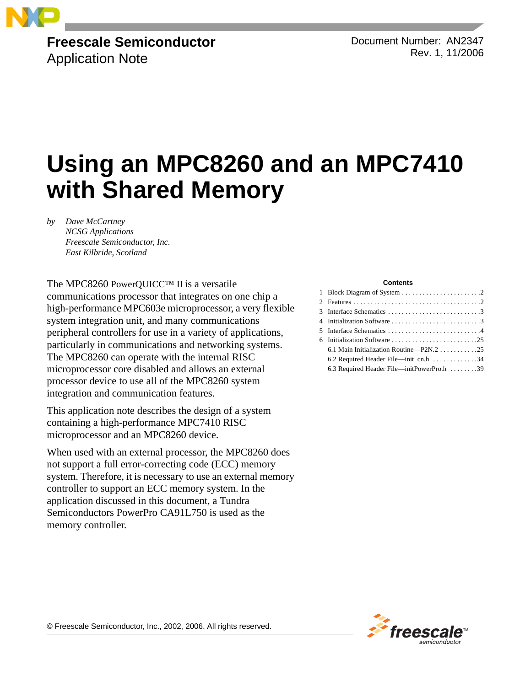

### **Freescale Semiconductor** Application Note

Document Number: AN2347 Rev. 1, 11/2006

# **Using an MPC8260 and an MPC7410 with Shared Memory**

*by Dave McCartney NCSG Applications Freescale Semiconductor, Inc. East Kilbride, Scotland*

The MPC8260 PowerQUICC™ II is a versatile communications processor that integrates on one chip a high-performance MPC603e microprocessor, a very flexible system integration unit, and many communications peripheral controllers for use in a variety of applications, particularly in communications and networking systems. The MPC8260 can operate with the internal RISC microprocessor core disabled and allows an external processor device to use all of the MPC8260 system integration and communication features.

This application note describes the design of a system containing a high-performance MPC7410 RISC microprocessor and an MPC8260 device.

When used with an external processor, the MPC8260 does not support a full error-correcting code (ECC) memory system. Therefore, it is necessary to use an external memory controller to support an ECC memory system. In the application discussed in this document, a Tundra Semiconductors PowerPro CA91L750 is used as the memory controller.

#### **Contents**

| 3 Interface Schematics 3                                    |
|-------------------------------------------------------------|
| 4 Initialization Software 3                                 |
|                                                             |
|                                                             |
|                                                             |
| 6.2 Required Header File—init_cn.h $\dots\dots\dots\dots34$ |
| 6.3 Required Header File—initPowerPro.h 39                  |
|                                                             |

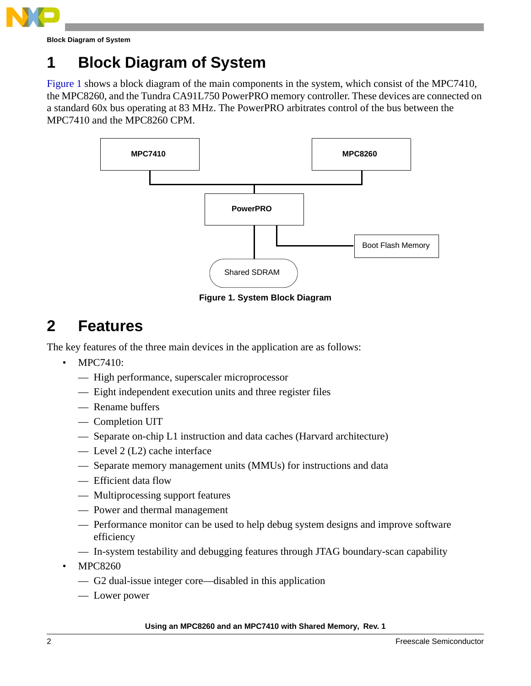

**Block Diagram of System**

## **1 Block Diagram of System**

[Figure 1](#page-1-0) shows a block diagram of the main components in the system, which consist of the MPC7410, the MPC8260, and the Tundra CA91L750 PowerPRO memory controller. These devices are connected on a standard 60x bus operating at 83 MHz. The PowerPRO arbitrates control of the bus between the MPC7410 and the MPC8260 CPM.



**Figure 1. System Block Diagram**

## <span id="page-1-0"></span>**2 Features**

The key features of the three main devices in the application are as follows:

- MPC7410:
	- High performance, superscaler microprocessor
	- Eight independent execution units and three register files
	- Rename buffers
	- Completion UIT
	- Separate on-chip L1 instruction and data caches (Harvard architecture)
	- Level 2 (L2) cache interface
	- Separate memory management units (MMUs) for instructions and data
	- Efficient data flow
	- Multiprocessing support features
	- Power and thermal management
	- Performance monitor can be used to help debug system designs and improve software efficiency
	- In-system testability and debugging features through JTAG boundary-scan capability
- MPC8260
	- G2 dual-issue integer core—disabled in this application
	- Lower power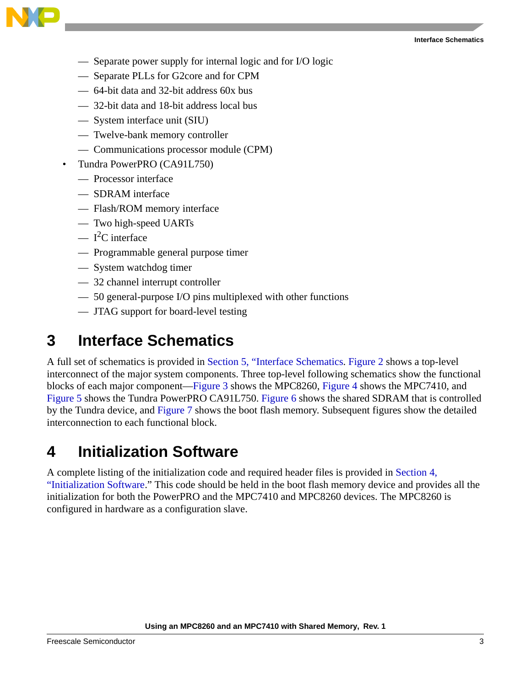

- Separate power supply for internal logic and for I/O logic
- Separate PLLs for G2core and for CPM
- 64-bit data and 32-bit address 60x bus
- 32-bit data and 18-bit address local bus
- System interface unit (SIU)
- Twelve-bank memory controller
- Communications processor module (CPM)
- Tundra PowerPRO (CA91L750)
	- Processor interface
	- SDRAM interface
	- Flash/ROM memory interface
	- Two high-speed UARTs
	- $-$  I<sup>2</sup>C interface
	- Programmable general purpose timer
	- System watchdog timer
	- 32 channel interrupt controller
	- 50 general-purpose I/O pins multiplexed with other functions
	- JTAG support for board-level testing

## **3 Interface Schematics**

A full set of schematics is provided in [Section 5, "Interface Schematics.](#page-3-1) [Figure 2](#page-3-0) shows a top-level interconnect of the major system components. Three top-level following schematics show the functional blocks of each major component—[Figure 3](#page-4-0) shows the MPC8260, [Figure 4](#page-5-0) shows the MPC7410, and [Figure 5](#page-6-0) shows the Tundra PowerPRO CA91L750. [Figure 6](#page-7-0) shows the shared SDRAM that is controlled by the Tundra device, and [Figure 7](#page-8-0) shows the boot flash memory. Subsequent figures show the detailed interconnection to each functional block.

## <span id="page-2-0"></span>**4 Initialization Software**

A complete listing of the initialization code and required header files is provided in [Section 4,](#page-2-0)  ["Initialization Software](#page-2-0)." This code should be held in the boot flash memory device and provides all the initialization for both the PowerPRO and the MPC7410 and MPC8260 devices. The MPC8260 is configured in hardware as a configuration slave.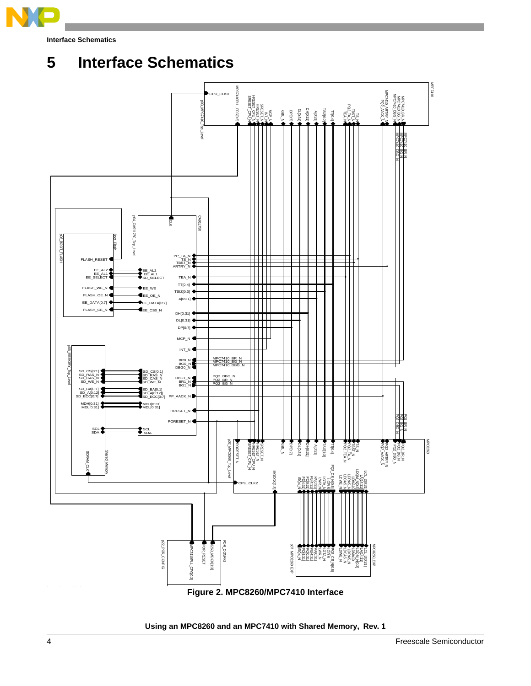

## <span id="page-3-1"></span>**5 Interface Schematics**

<span id="page-3-0"></span>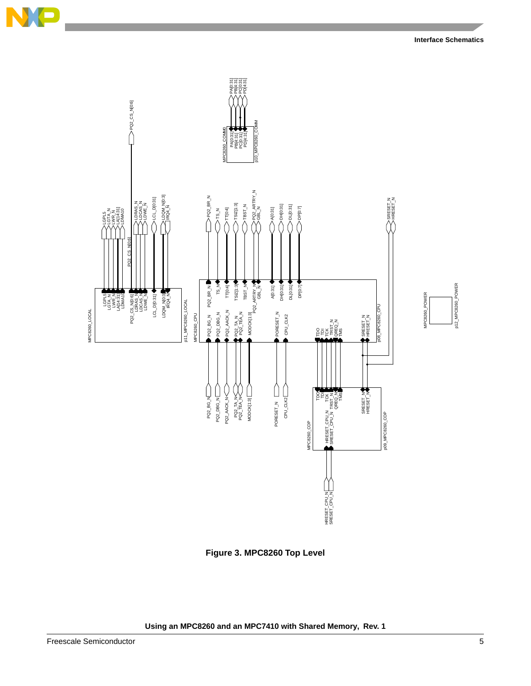



<span id="page-4-0"></span>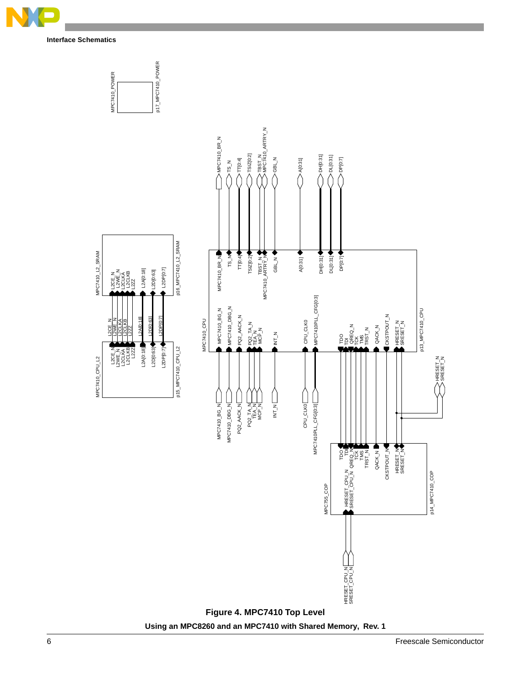

<span id="page-5-0"></span>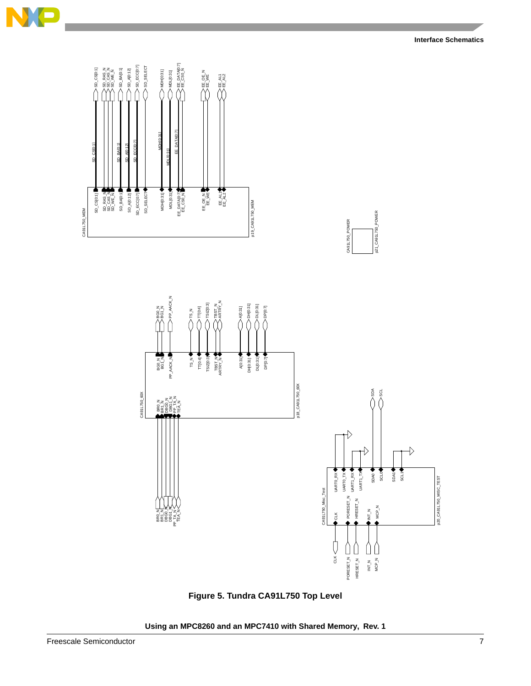

<span id="page-6-0"></span>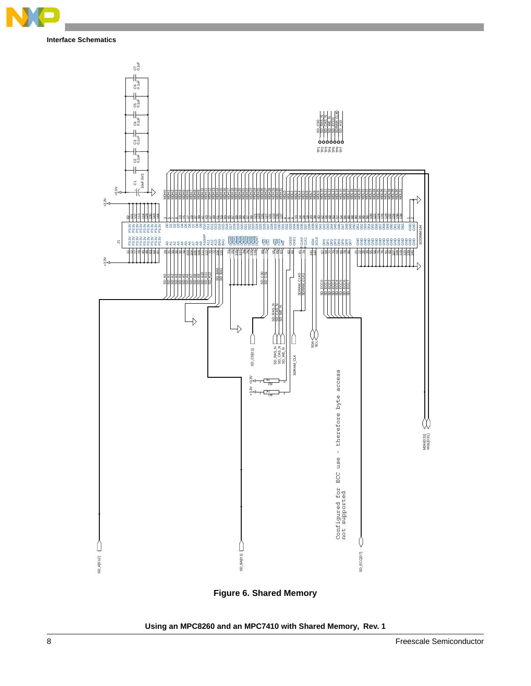



<span id="page-7-0"></span>**Figure 6. Shared Memory**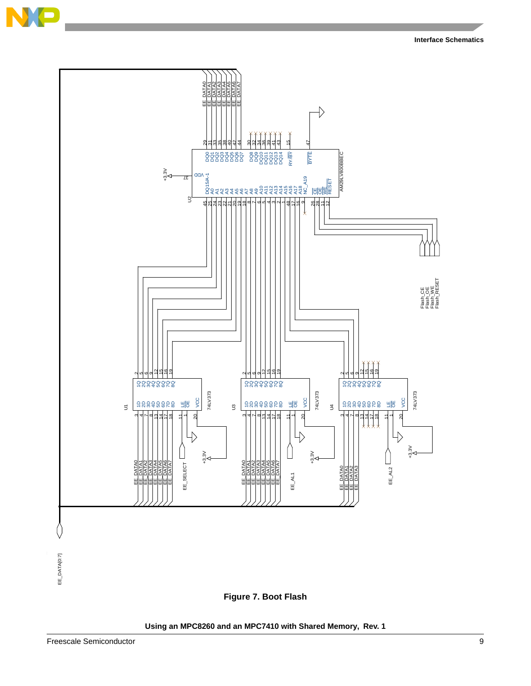

<span id="page-8-0"></span>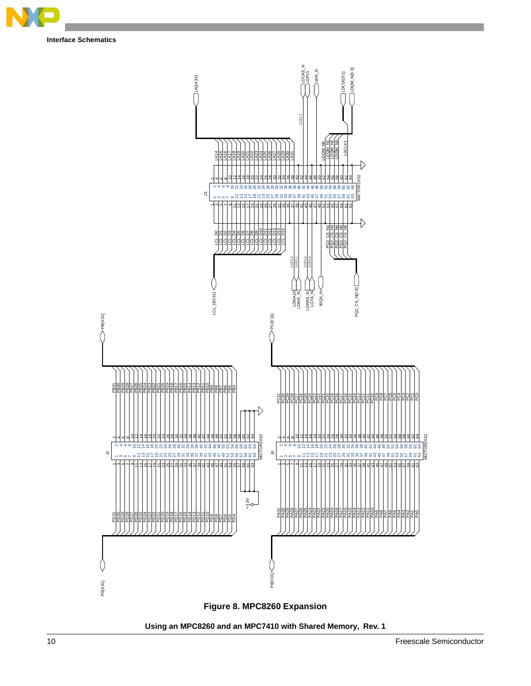

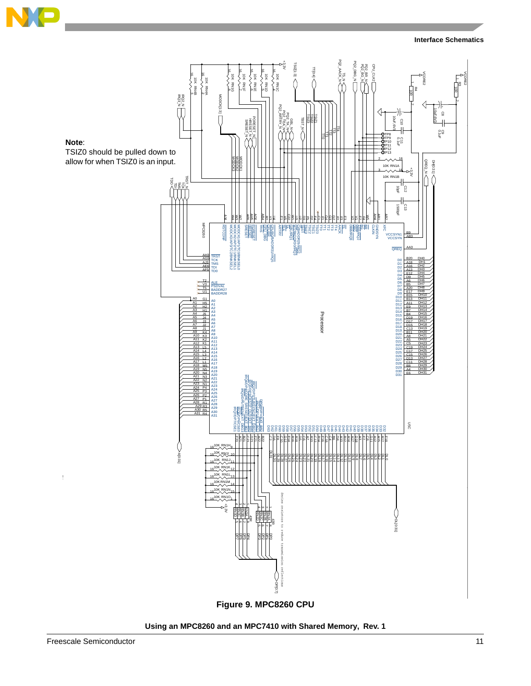

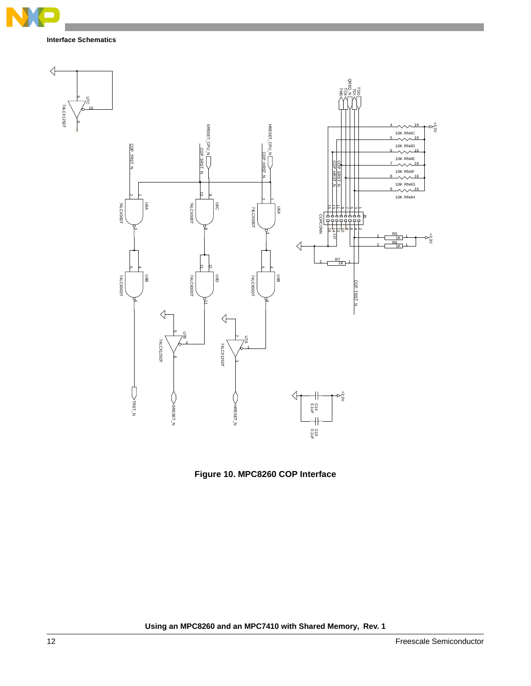

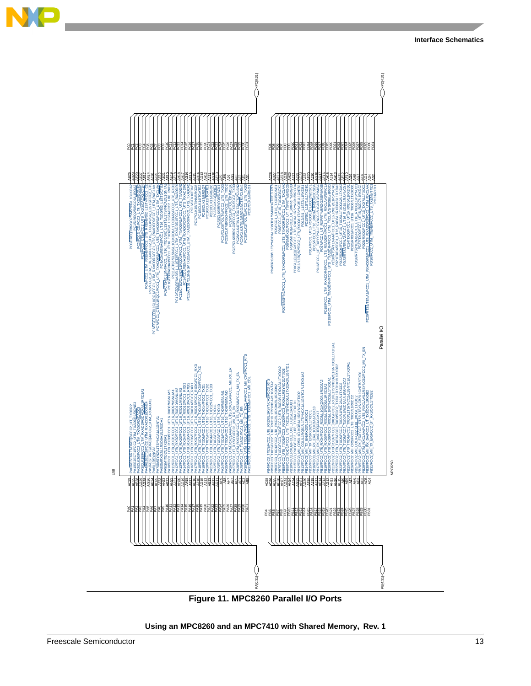

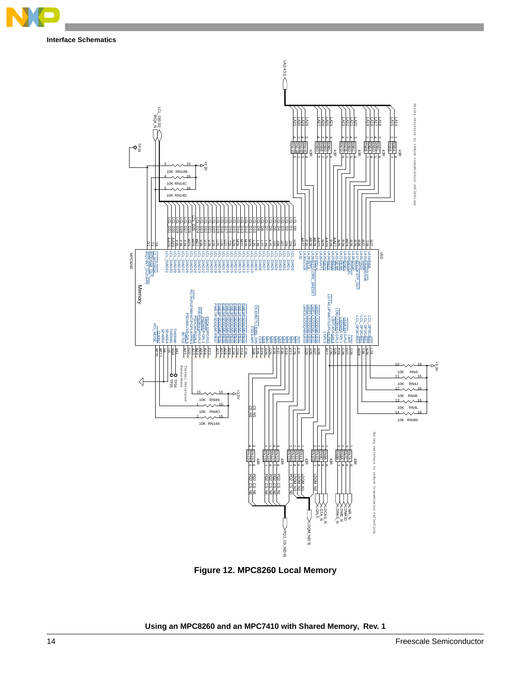



**Figure 12. MPC8260 Local Memory**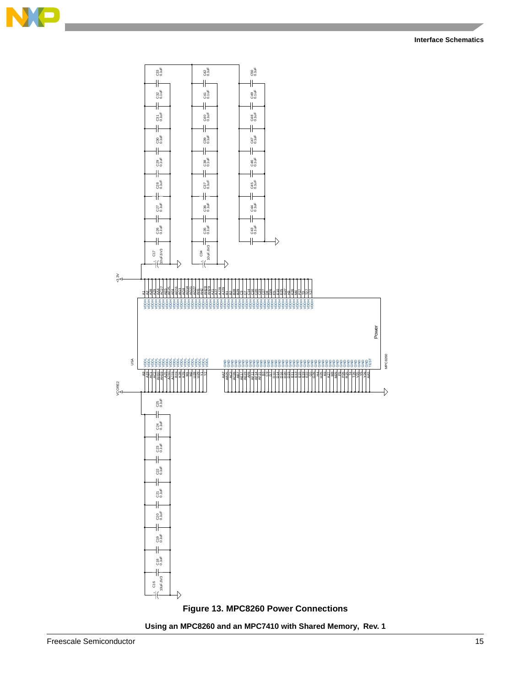

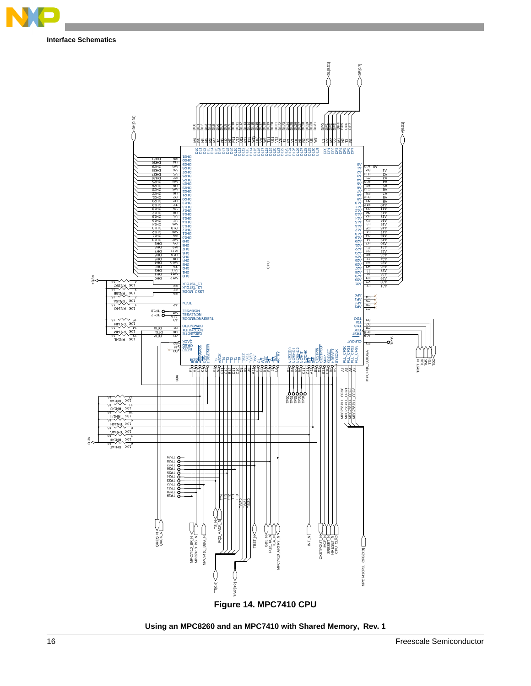



**Using an MPC8260 and an MPC7410 with Shared Memory, Rev. 1**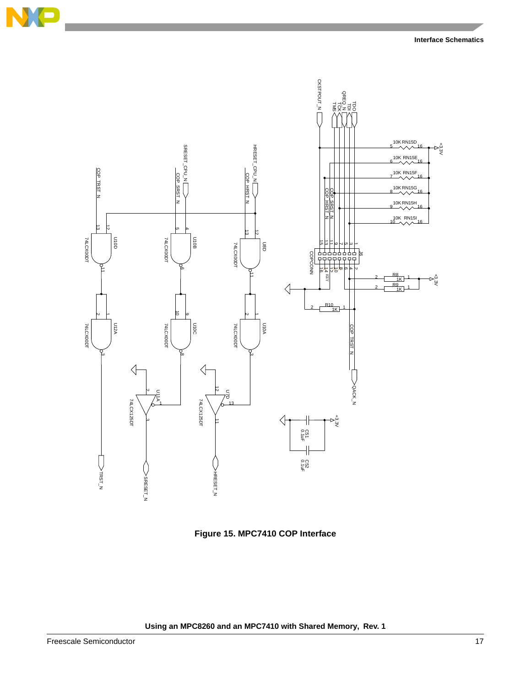

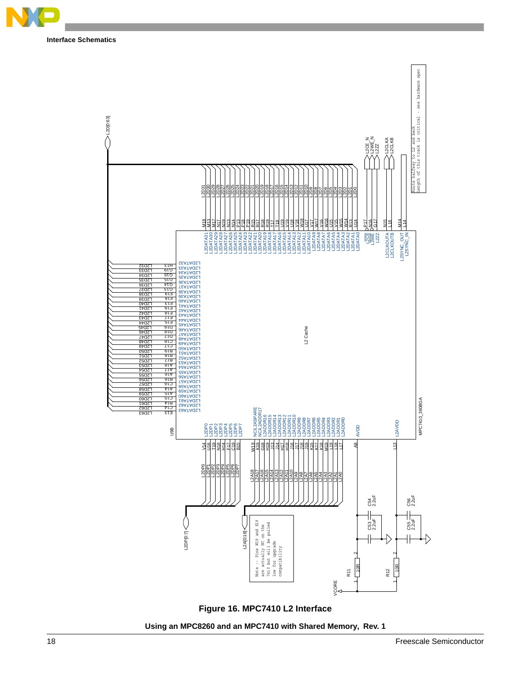



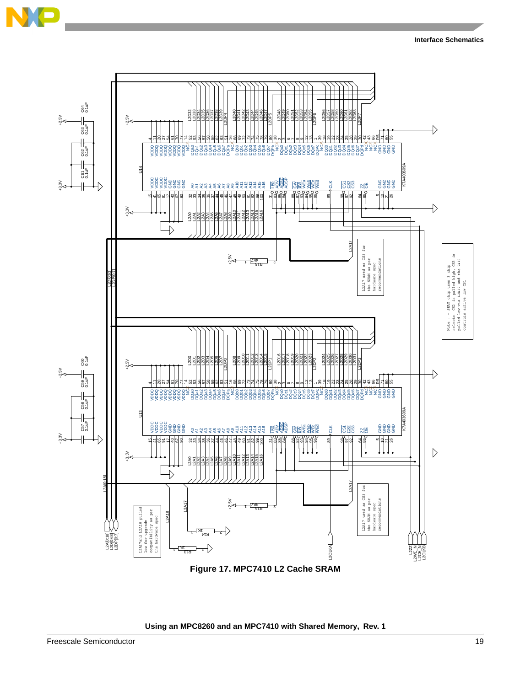

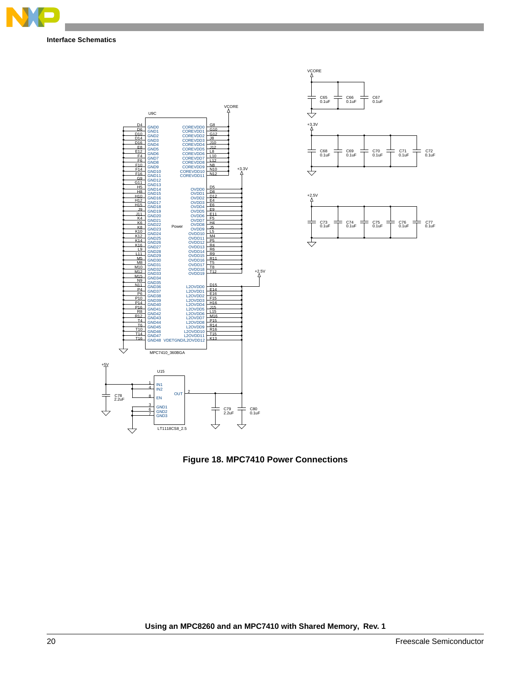





**Figure 18. MPC7410 Power Connections**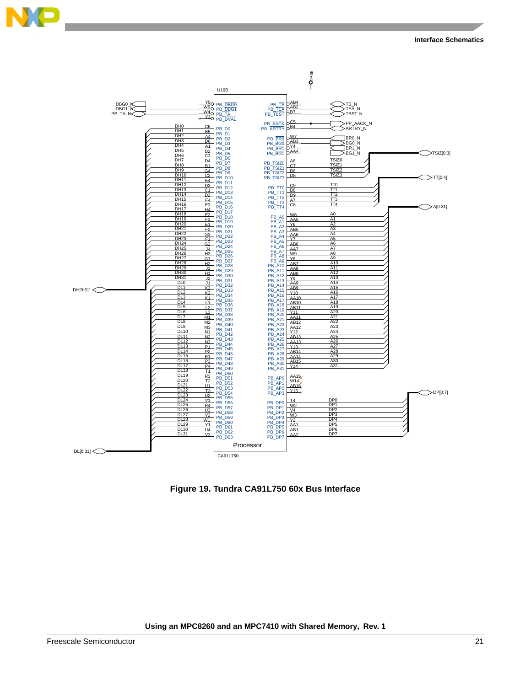



**Figure 19. Tundra CA91L750 60x Bus Interface**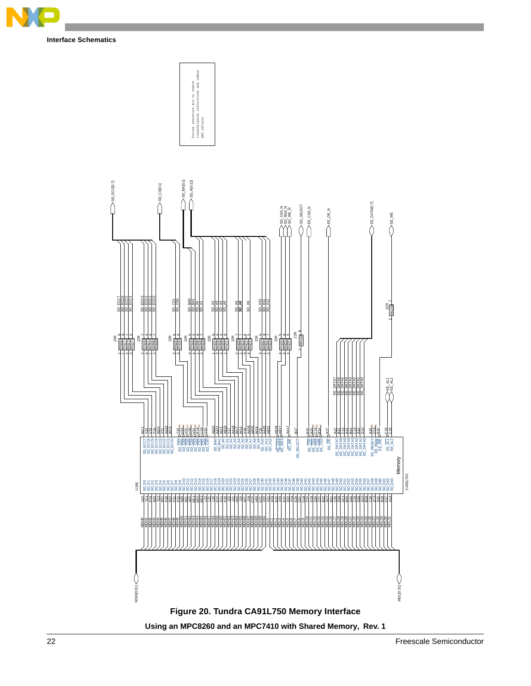

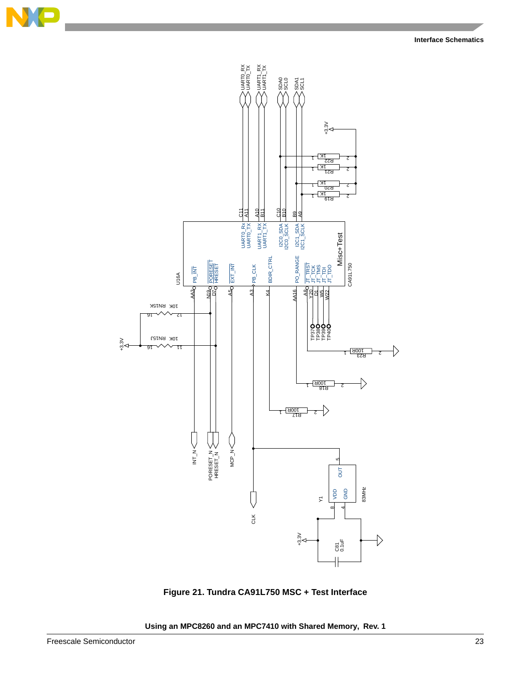



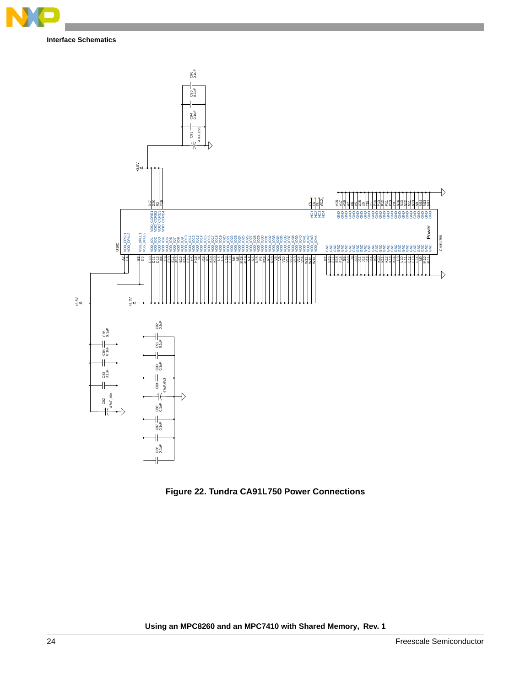



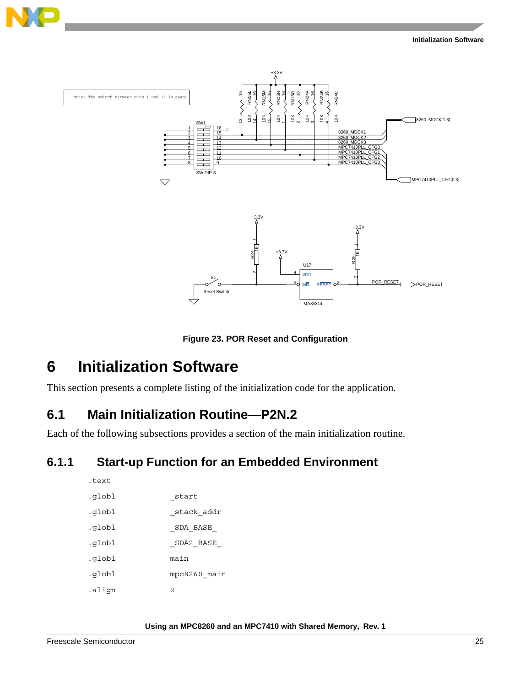



**Figure 23. POR Reset and Configuration**

## **6 Initialization Software**

This section presents a complete listing of the initialization code for the application.

### **6.1 Main Initialization Routine—P2N.2**

Each of the following subsections provides a section of the main initialization routine.

### **6.1.1 Start-up Function for an Embedded Environment**

| ت د ب ب |              |
|---------|--------------|
| .qlobl  | start        |
| .globl  | stack addr   |
| .globl  | SDA BASE     |
| .globl  | SDA2 BASE    |
| .globl  | main         |
| .qlobl  | mpc8260 main |
| .aliqn  | 2            |
|         |              |

**Using an MPC8260 and an MPC7410 with Shared Memory, Rev. 1**

 $t \sim t$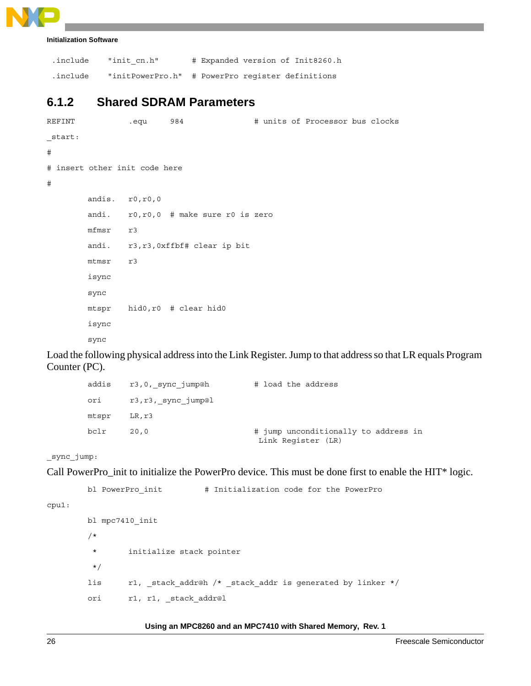| .include | "init cn.h"                                      |  |  | # Expanded version of Init8260.h |
|----------|--------------------------------------------------|--|--|----------------------------------|
| .include | "initPowerPro.h" # PowerPro register definitions |  |  |                                  |

### **6.1.2 Shared SDRAM Parameters**

```
REFINT .equ 984 # units of Processor bus clocks
_start:
#
# insert other init code here
#
       andis. r0, r0, 0
       andi. r0,r0,0 # make sure r0 is zero
       mfmsr r3
       andi. r3,r3,0xffbf# clear ip bit
       mtmsr r3
       isync
       sync
       mtspr hid0,r0 # clear hid0
       isync
       sync
```
Load the following physical address into the Link Register. Jump to that address so that LR equals Program Counter (PC).

|       | addis r3,0, sync jump@h | # load the address                                         |
|-------|-------------------------|------------------------------------------------------------|
| ori   | r3,r3, sync jump@l      |                                                            |
| mtspr | LR, r3                  |                                                            |
| bclr  | 20.0                    | # jump unconditionally to address in<br>Link Register (LR) |

\_sync\_jump:

cpu1:

Call PowerPro\_init to initialize the PowerPro device. This must be done first to enable the HIT\* logic.

```
bl PowerPro init \qquad # Initialization code for the PowerPro
bl mpc7410_init
/*
  * initialize stack pointer
  */
lis r1, _stack_addr@h /* _stack_addr is generated by linker */
ori r1, r1, _stack_addr@l
```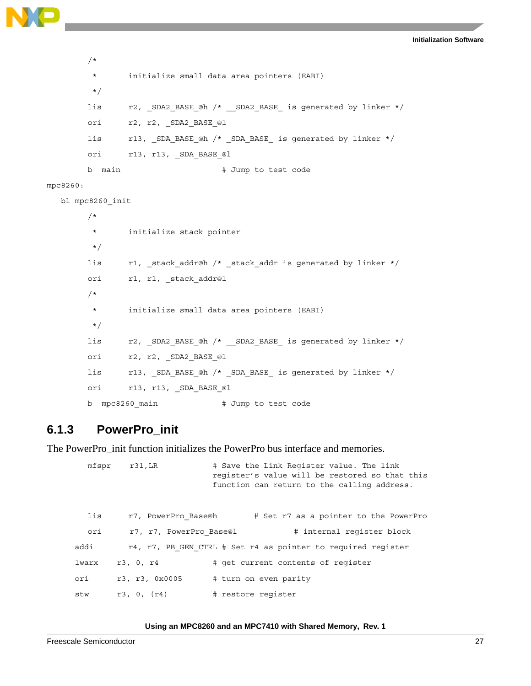```
Initialization Software
```

```
/*
         * initialize small data area pointers (EABI)
         */
       lis r2, SDA2 BASE @h /* SDA2 BASE is generated by linker */
       ori r2, r2, SDA2 BASE @l
       lis r13, _SDA_BASE_@h /* _SDA_BASE_ is generated by linker */
       ori r13, r13, SDA BASE @l
       b main # Jump to test code
mpc8260:
   bl mpc8260_init
        /*
         * initialize stack pointer
         */
       lis r1, stack addr@h /* stack addr is generated by linker */
       ori r1, r1, stack addr@l
       /*
         * initialize small data area pointers (EABI)
         */
       lis r2, SDA2 BASE @h /* SDA2 BASE is generated by linker */
       ori r2, r2, SDA2 BASE @l
       lis r13, SDA BASE @h /* SDA BASE is generated by linker */
       ori r13, r13, SDA BASE @l
       b mpc8260 main # Jump to test code
```
### **6.1.3 PowerPro\_init**

The PowerPro\_init function initializes the PowerPro bus interface and memories.

mfspr r31,LR # Save the Link Register value. The link register's value will be restored so that this function can return to the calling address. lis r7, PowerPro Base@h # Set r7 as a pointer to the PowerPro ori r7, r7, PowerPro Base@l # internal register block addi r4, r7, PB GEN CTRL # Set r4 as pointer to required register lwarx r3, 0, r4 # get current contents of register ori r3, r3, 0x0005 # turn on even parity stw r3, 0, (r4) # restore register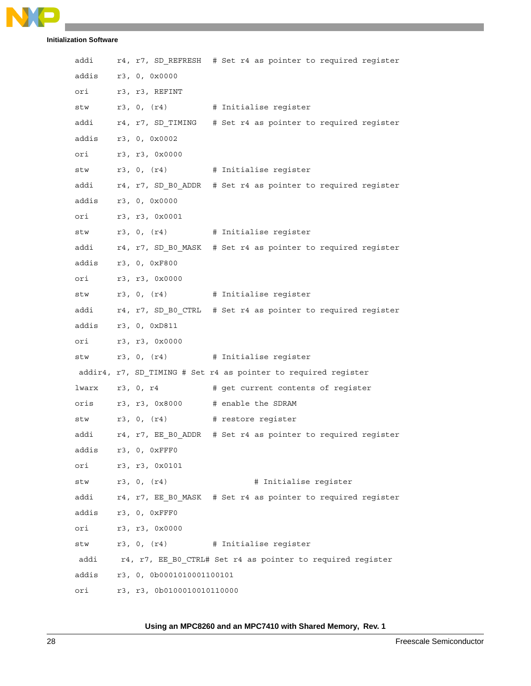```
NO
```

| addi  |                            | r4, r7, SD REFRESH # Set r4 as pointer to required register      |  |
|-------|----------------------------|------------------------------------------------------------------|--|
|       | addis r3, 0, 0x0000        |                                                                  |  |
|       | ori r3, r3, REFINT         |                                                                  |  |
|       |                            | stw r3, 0, (r4) # Initialise register                            |  |
|       |                            | addi r4, r7, SD_TIMING # Set r4 as pointer to required register  |  |
|       | addis r3, 0, 0x0002        |                                                                  |  |
|       | ori r3, r3, 0x0000         |                                                                  |  |
|       |                            | stw r3, 0, (r4) # Initialise register                            |  |
|       |                            | addi r4, r7, SD B0 ADDR # Set r4 as pointer to required register |  |
|       | addis r3, 0, 0x0000        |                                                                  |  |
|       | ori r3, r3, 0x0001         |                                                                  |  |
|       |                            | stw r3, 0, (r4) # Initialise register                            |  |
|       |                            | addi r4, r7, SD_B0_MASK # Set r4 as pointer to required register |  |
|       | addis r3, 0, 0xF800        |                                                                  |  |
|       | ori r3, r3, 0x0000         |                                                                  |  |
|       |                            | stw r3, 0, (r4) # Initialise register                            |  |
|       |                            | addi r4, r7, SD_B0_CTRL # Set r4 as pointer to required register |  |
|       | addis r3, 0, 0xD811        |                                                                  |  |
|       | ori r3, r3, 0x0000         |                                                                  |  |
|       |                            | stw r3, 0, (r4) # Initialise register                            |  |
|       |                            | addir4, r7, SD_TIMING # Set r4 as pointer to required register   |  |
|       |                            | lwarx r3, 0, r4 # get current contents of register               |  |
|       |                            | oris r3, r3, 0x8000 # enable the SDRAM                           |  |
|       |                            | stw r3, 0, (r4) # restore register                               |  |
|       |                            | addi r4, r7, EE B0 ADDR # Set r4 as pointer to required register |  |
| addis | r3, 0, 0xFFF0              |                                                                  |  |
| ori   | r3, r3, 0x0101             |                                                                  |  |
| stw   | r3, 0, (r4)                | # Initialise register                                            |  |
| addi  |                            | r4, r7, EE B0 MASK # Set r4 as pointer to required register      |  |
|       | addis r3, 0, 0xFFF0        |                                                                  |  |
| ori   | r3, r3, 0x0000             |                                                                  |  |
| stw   |                            | r3, 0, (r4) # Initialise register                                |  |
| addi  |                            | r4, r7, EE B0_CTRL# Set r4 as pointer to required register       |  |
| addis | r3, 0, 0b0001010001100101  |                                                                  |  |
| ori   | r3, r3, 0b0100010010110000 |                                                                  |  |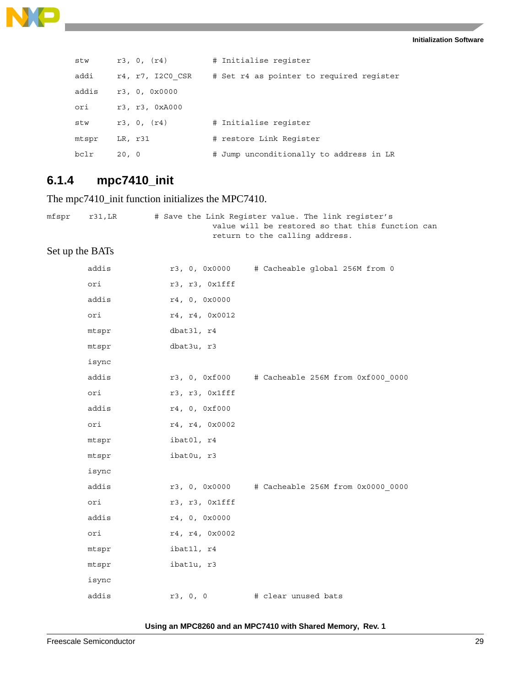

| stw   | r3, 0, (r4)      | # Initialise register                    |
|-------|------------------|------------------------------------------|
| addi  | r4, r7, I2C0 CSR | # Set r4 as pointer to required register |
| addis | r3, 0, 0x0000    |                                          |
| ori   | r3, r3, 0xA000   |                                          |
| stw   | r3, 0, (r4)      | # Initialise register                    |
| mtspr | LR, r31          | # restore Link Register                  |
| bclr  | 20, 0            | # Jump unconditionally to address in LR  |

### **6.1.4 mpc7410\_init**

The mpc7410\_init function initializes the MPC7410.

```
mfspr r31,LR # Save the Link Register value. The link register's
                                 value will be restored so that this function can
                                 return to the calling address.
```
### Set up the BATs

| addis |                | r3, 0, 0x0000 # Cacheable global 256M from 0    |
|-------|----------------|-------------------------------------------------|
| ori   | r3, r3, 0x1fff |                                                 |
| addis | r4, 0, 0x0000  |                                                 |
| ori   | r4, r4, 0x0012 |                                                 |
| mtspr | dbat31, r4     |                                                 |
| mtspr | dbat3u, r3     |                                                 |
| isync |                |                                                 |
| addis |                | r3, 0, 0xf000 # Cacheable 256M from 0xf000_0000 |
| ori   | r3, r3, Oxlfff |                                                 |
| addis | r4, 0, 0xf000  |                                                 |
| ori   | r4, r4, 0x0002 |                                                 |
| mtspr | ibat01, r4     |                                                 |
| mtspr | ibat0u, r3     |                                                 |
| isync |                |                                                 |
| addis |                | r3, 0, 0x0000 # Cacheable 256M from 0x0000_0000 |
| ori   | r3, r3, Oxlfff |                                                 |
| addis | r4, 0, 0x0000  |                                                 |
| ori   | r4, r4, 0x0002 |                                                 |
| mtspr | ibat11, r4     |                                                 |
| mtspr | ibatlu, r3     |                                                 |
| isync |                |                                                 |
| addis | r3, 0, 0       | # clear unused bats                             |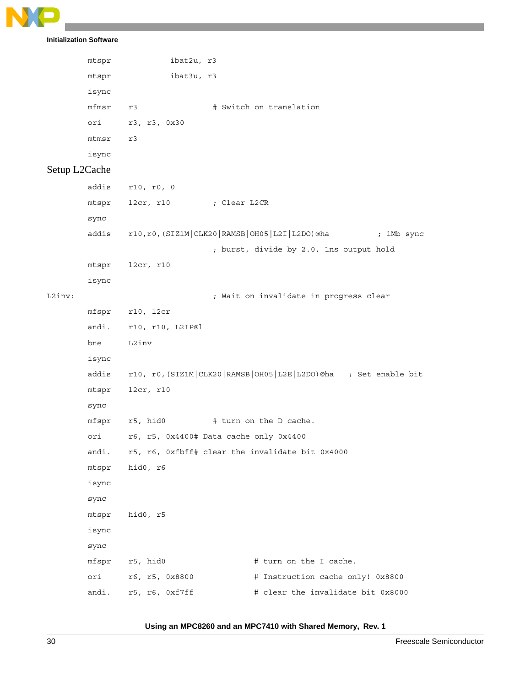```
Initialization Software
```

```
 mtspr ibat2u, r3
          mtspr ibat3u, r3 
          isync
         mfmsr r3 # Switch on translation
          ori r3, r3, 0x30
          mtmsr r3
          isync
Setup L2Cache
         addis r10, r0, 0
         mtspr l2cr, r10 ; Clear L2CR
         sync
         addis r10,r0,(SIZ1M|CLK20|RAMSB|OH05|L2I|L2DO)@ha ; 1Mb sync
                                     ; burst, divide by 2.0, 1ns output hold
         mtspr l2cr, r10
         isync
L2inv: \begin{array}{ccc} \hbox{L2inv:} \end{array} ; Wait on invalidate in progress clear
         mfspr r10, l2cr
         andi. r10, r10, L2IP@l
         bne L2inv
         isync
         addis r10, r0,(SIZ1M|CLK20|RAMSB|OH05|L2E|L2DO)@ha ; Set enable bit
         mtspr l2cr, r10
         sync
         mfspr r5, hid0 # turn on the D cache.
          ori r6, r5, 0x4400# Data cache only 0x4400
          andi. r5, r6, 0xfbff# clear the invalidate bit 0x4000
          mtspr hid0, r6
          isync
          sync
          mtspr hid0, r5
          isync
          sync
         mfspr r5, hid0 # turn on the I cache.
         ori r6, r5, 0x8800 # Instruction cache only! 0x8800
         andi. r5, r6, 0xf7ff \qquad \qquad \qquad \qquad \qquad \qquad \qquad \qquad \qquad \qquad \qquad \qquad \qquad \qquad \qquad \qquad \qquad \qquad \qquad \qquad \qquad \qquad \qquad \qquad \qquad \qquad \qquad \qquad \qquad \qquad \qquad \qquad \q
```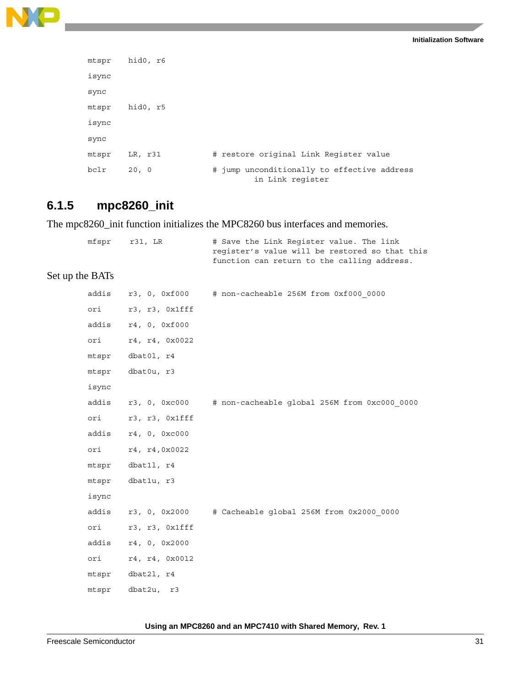

```
mtspr hid0, r6
isync
sync
mtspr hid0, r5
isync
sync
mtspr LR, r31 # restore original Link Register value 
bclr 20, 0   # jump unconditionally to effective address
                              in Link register
```
### **6.1.5 mpc8260\_init**

The mpc8260\_init function initializes the MPC8260 bus interfaces and memories.

```
mfspr r31, LR # Save the Link Register value. The link
                        register's value will be restored so that this
                        function can return to the calling address.
```
#### Set up the BATs

|       |                     | $addis$ $r3$ , 0, $0xf000$ $#$ non-cacheable 256M from $0xf000$ 0000 |
|-------|---------------------|----------------------------------------------------------------------|
|       | ori r3, r3, 0x1fff  |                                                                      |
|       | addis r4, 0, 0xf000 |                                                                      |
| ori   | r4, r4, 0x0022      |                                                                      |
|       | mtspr dbat01, r4    |                                                                      |
| mtspr | dbat0u, r3          |                                                                      |
| isync |                     |                                                                      |
|       |                     | addis r3, 0, 0xc000 # non-cacheable global 256M from 0xc000 0000     |
| ori   | r3, r3, 0x1fff      |                                                                      |
|       | addis r4, 0, 0xc000 |                                                                      |
| ori   | r4, r4,0x0022       |                                                                      |
|       | mtspr dbat11, r4    |                                                                      |
| mtspr | dbatlu, r3          |                                                                      |
| isync |                     |                                                                      |
|       |                     | addis r3, 0, 0x2000 # Cacheable global 256M from 0x2000 0000         |
| ori   | r3, r3, 0x1fff      |                                                                      |
|       | addis r4, 0, 0x2000 |                                                                      |
| ori   | r4, r4, 0x0012      |                                                                      |
|       | mtspr dbat21, r4    |                                                                      |
| mtspr | dbat2u, r3          |                                                                      |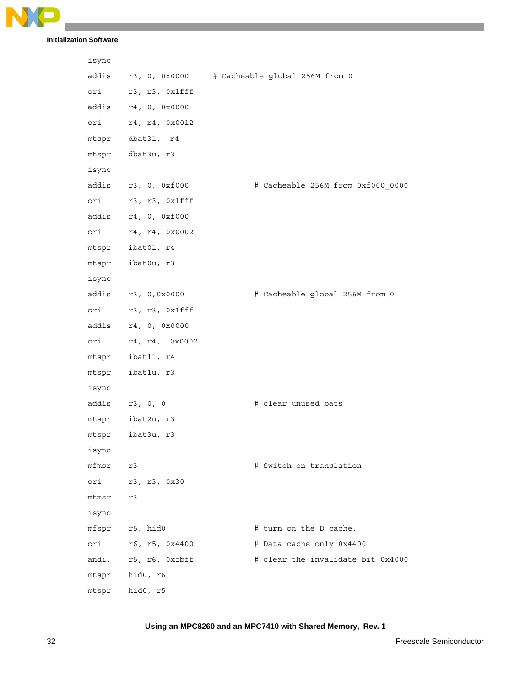

| isync |                     |                                                    |
|-------|---------------------|----------------------------------------------------|
|       |                     | addis r3, 0, 0x0000 # Cacheable global 256M from 0 |
|       | ori r3, r3, 0x1fff  |                                                    |
|       | addis r4, 0, 0x0000 |                                                    |
|       | ori r4, r4, 0x0012  |                                                    |
|       | mtspr dbat31, r4    |                                                    |
| mtspr | dbat3u, r3          |                                                    |
| isync |                     |                                                    |
|       | addis r3, 0, 0xf000 | # Cacheable 256M from 0xf000_0000                  |
|       | ori r3, r3, 0x1fff  |                                                    |
|       | addis r4, 0, 0xf000 |                                                    |
|       | ori r4, r4, 0x0002  |                                                    |
|       | mtspr ibat01, r4    |                                                    |
|       | mtspr ibat0u, r3    |                                                    |
| isync |                     |                                                    |
|       | addis r3, 0,0x0000  | # Cacheable global 256M from 0                     |
|       | ori r3, r3, 0x1fff  |                                                    |
|       | addis r4, 0, 0x0000 |                                                    |
|       | ori r4, r4, 0x0002  |                                                    |
|       | mtspr ibat11, r4    |                                                    |
| mtspr | ibatlu, r3          |                                                    |
| isync |                     |                                                    |
|       | addis r3, 0, 0      | # clear unused bats                                |
|       | mtspr ibat2u, r3    |                                                    |
|       | mtspr ibat3u, r3    |                                                    |
| isync |                     |                                                    |
| mfmsr | r3                  | # Switch on translation                            |
| ori   | r3, r3, 0x30        |                                                    |
| mtmsr | r3                  |                                                    |
| isync |                     |                                                    |
| mfspr | r5, hid0            | # turn on the D cache.                             |
| ori   | r6, r5, 0x4400      | # Data cache only 0x4400                           |
| andi. | r5, r6, Oxfbff      | # clear the invalidate bit 0x4000                  |
| mtspr | hid0, r6            |                                                    |
| mtspr | hid0, r5            |                                                    |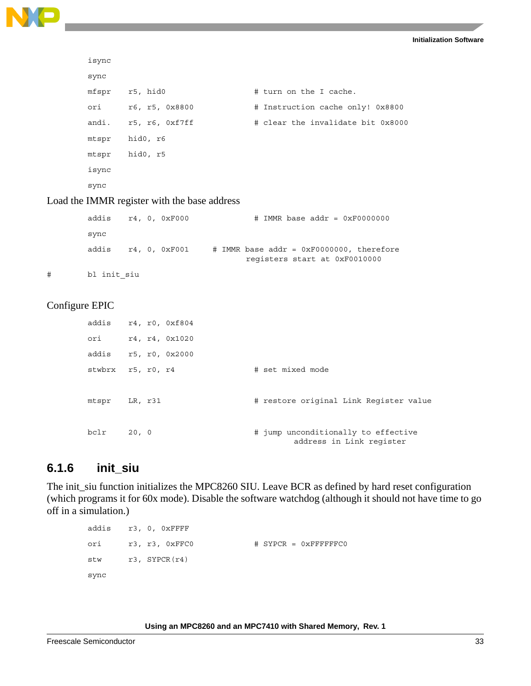

```
isync
sync
mfspr r5, hid0 # turn on the I cache.
ori r6, r5, 0x8800 # Instruction cache only! 0x8800
andi. r5, r6, 0xf7ff \# clear the invalidate bit 0x8000
mtspr hid0, r6
mtspr hid0, r5
isync
sync
```
Load the IMMR register with the base address

|   | addis r4, 0, 0xF000 |  |               | $\#$ IMMR base addr = 0xF0000000                                            |  |
|---|---------------------|--|---------------|-----------------------------------------------------------------------------|--|
|   | sync                |  |               |                                                                             |  |
|   | addis               |  | r4, 0, 0xF001 | $#$ IMMR base addr = 0xF0000000, therefore<br>registers start at 0xF0010000 |  |
| # | bl init siu         |  |               |                                                                             |  |

### Configure EPIC

|       | addis r4, r0, 0xf804 |                                        |
|-------|----------------------|----------------------------------------|
| ori   | r4, r4, 0x1020       |                                        |
| addis | r5, r0, 0x2000       |                                        |
|       | stwbrx r5, r0, r4    | # set mixed mode                       |
|       |                      |                                        |
| mtspr | LR, r31              | # restore original Link Register value |
|       |                      |                                        |
| bclr  | 20, 0                | # jump unconditionally to effective    |
|       |                      | address in Link register               |

### **6.1.6 init\_siu**

The init\_siu function initializes the MPC8260 SIU. Leave BCR as defined by hard reset configuration (which programs it for 60x mode). Disable the software watchdog (although it should not have time to go off in a simulation.)

```
 addis r3, 0, 0xFFFF
ori r3, r3, 0xFFC0 # SYPCR = 0xFFFFFFC0
stw r3, SYPCR(r4)
 sync
```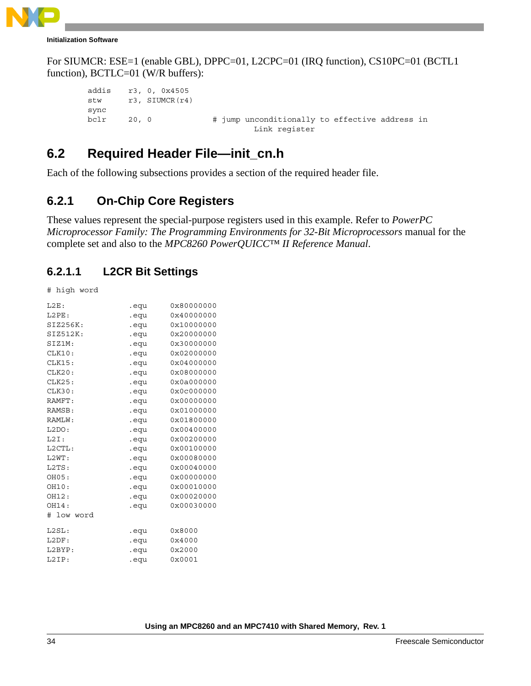

For SIUMCR: ESE=1 (enable GBL), DPPC=01, L2CPC=01 (IRQ function), CS10PC=01 (BCTL1 function), BCTLC=01 (W/R buffers):

```
 addis r3, 0, 0x4505
stw r3, SIUMCR(r4)
sync
bclr 20, 0 # jump unconditionally to effective address in
                              Link register
```
### **6.2 Required Header File—init\_cn.h**

Each of the following subsections provides a section of the required header file.

## **6.2.1 On-Chip Core Registers**

These values represent the special-purpose registers used in this example. Refer to *PowerPC Microprocessor Family: The Programming Environments for 32-Bit Microprocessors* manual for the complete set and also to the *MPC8260 PowerQUICC™ II Reference Manual*.

### **6.2.1.1 L2CR Bit Settings**

# high word

| L2E:       | .equ | 0x80000000 |
|------------|------|------------|
| L2PE:      | .equ | 0x40000000 |
| SIZ256K:   | .equ | 0x10000000 |
| SIZ512K:   | .equ | 0x20000000 |
| SIZ1M:     | equ. | 0x30000000 |
| CLK10:     | .equ | 0x02000000 |
| CLK15:     | .equ | 0x04000000 |
| CLK20:     | equ. | 0x08000000 |
| CLK25:     | .equ | 0x0a000000 |
| CLK30:     | .equ | 0x0c000000 |
| RAMFT:     | equ. | 0x00000000 |
| RAMSB:     | .equ | 0x01000000 |
| RAMLW:     | .equ | 0x01800000 |
| L2DO:      | .equ | 0x00400000 |
| L2I:       | .equ | 0x00200000 |
| L2CTL:     | .equ | 0x00100000 |
| L2WT:      | .equ | 0x00080000 |
| L2TS:      | .equ | 0x00040000 |
| OH05:      | .equ | 0x00000000 |
| OH10:      | .equ | 0x00010000 |
| OH12:      | .equ | 0x00020000 |
| OH14:      | .equ | 0x00030000 |
| # low word |      |            |
| L2SL:      | .equ | 0x8000     |
| L2DF:      | .equ | 0x4000     |
| L2BYP:     | .equ | 0x2000     |
| L2IP:      | .equ | 0x0001     |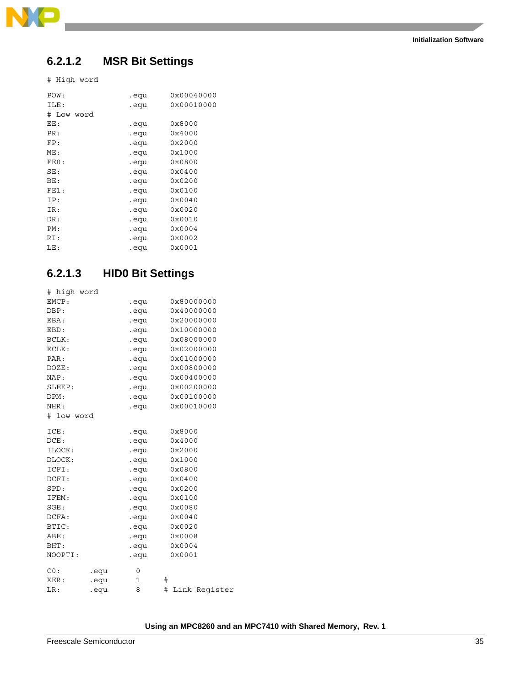

### **6.2.1.2 MSR Bit Settings**

# High word

| POW:       | .equ | 0x00040000 |
|------------|------|------------|
| ILE:       | .equ | 0x00010000 |
| # Low word |      |            |
| EE:        | .equ | 0x8000     |
| PR:        | .equ | 0x4000     |
| FP:        | .equ | 0x2000     |
| ME:        | .equ | 0x1000     |
| FE0:       | .equ | 0x0800     |
| SE:        | .equ | 0x0400     |
| BE:        | .equ | 0x0200     |
| FE1:       | .equ | 0x0100     |
| IP:        | .equ | 0x0040     |
| IR:        | .equ | 0x0020     |
| DR:        | .equ | 0x0010     |
| PM:        | .equ | 0x0004     |
| RI:        | .equ | 0x0002     |
| LE:        | .equ | 0x0001     |
|            |      |            |

### **6.2.1.3 HID0 Bit Settings**

| # high word |      |                      |                    |
|-------------|------|----------------------|--------------------|
| EMCP:       |      | .equ                 | 0x80000000         |
| DBP:        |      | eque to the control. | 0x40000000         |
| EBA:        |      | .equ                 | 0x20000000         |
| EBD:        |      | .equ                 | 0x10000000         |
| BCLK:       |      | eque .               | 0x08000000         |
| ECLK:       |      | equ.                 | 0x02000000         |
| PAR:        |      | .equ                 | 0x01000000         |
| DOZE:       |      | .equ                 | 0x00800000         |
| NAP:        |      | equ.                 | 0x00400000         |
| SLEEP:      |      | .equ                 | 0x00200000         |
| DPM:        |      | .equ                 | 0x00100000         |
| NHR:        |      | .equ                 | 0x00010000         |
| # low word  |      |                      |                    |
| ICE:        |      | .equ                 | 0x8000             |
| DCE:        |      | .equ                 | 0x4000             |
| ILOCK:      |      | .equ                 | 0x2000             |
| DLOCK:      |      | .equ                 | 0x1000             |
| ICFI:       |      | .equ                 | 0x0800             |
| DCFI:       |      | .equ                 | 0x0400             |
| SPD:        |      | .equ                 | 0x0200             |
| IFEM:       |      | equ.                 | 0x0100             |
| SGE:        |      | .equ                 | 0x0080             |
| DCFA:       |      | .equ                 | 0x0040             |
| BTIC:       |      | .equ                 | 0x0020             |
| ABE:        |      | .equ                 | 0x0008             |
| BHT:        |      | .equ                 | 0x0004             |
| NOOPTI:     |      | .equ                 | 0x0001             |
| CO:         | .equ | 0                    |                    |
| XER:        | .equ | 1                    | #                  |
| LR:         | .equ | 8                    | #<br>Link Register |
|             |      |                      |                    |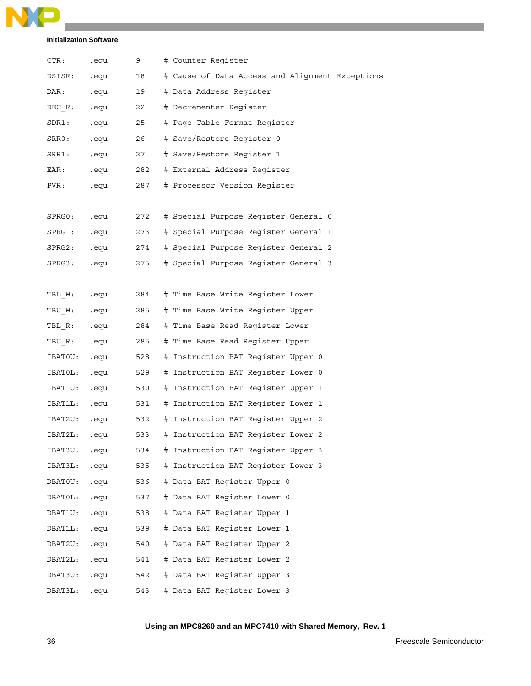

| $\mathtt{CTR:}$ | .equ | 9   | # Counter Register                              |
|-----------------|------|-----|-------------------------------------------------|
| DSISR:          | .equ | 18  | # Cause of Data Access and Alignment Exceptions |
| DAR:            | .equ | 19  | # Data Address Register                         |
| DEC R:          | .equ | 22  | # Decrementer Reqister                          |
| SDR1:           | .equ | 25  | # Page Table Format Register                    |
| SRRO:           | .equ | 26  | # Save/Restore Register 0                       |
| SRR1:           | .equ | 27  | # Save/Restore Register 1                       |
| EAR:            | .equ | 282 | # External Address Register                     |
| PVR:            | .equ | 287 | # Processor Version Register                    |
|                 |      |     |                                                 |
| SPRG0:          | .equ | 272 | # Special Purpose Register General 0            |
| SPRG1:          | .equ | 273 | # Special Purpose Register General 1            |
| SPRG2:          | .equ | 274 | # Special Purpose Register General 2            |
| SPRG3:          | .equ | 275 | # Special Purpose Register General 3            |
|                 |      |     |                                                 |
| TBL W:          | .equ | 284 | # Time Base Write Register Lower                |
| TBU W:          | .equ | 285 | # Time Base Write Register Upper                |
| TBL R:          | .equ | 284 | # Time Base Read Register Lower                 |
| TBU R:          | .equ | 285 | # Time Base Read Register Upper                 |
| IBATOU:         | .equ | 528 | # Instruction BAT Register Upper 0              |
| IBATOL:         | .equ | 529 | # Instruction BAT Register Lower 0              |
| IBAT1U:         | .equ | 530 | # Instruction BAT Register Upper 1              |
| IBAT1L:         | .equ | 531 | # Instruction BAT Register Lower 1              |
| IBAT2U:         | .equ | 532 | # Instruction BAT Register Upper 2              |
| IBAT2L:         | .equ | 533 | # Instruction BAT Register Lower 2              |
| IBAT3U:         | .equ | 534 | # Instruction BAT Register Upper 3              |
| IBAT3L:         | .equ | 535 | # Instruction BAT Register Lower 3              |
| DBATOU:         | .equ | 536 | # Data BAT Register Upper 0                     |
| DBAT0L:         | .equ | 537 | # Data BAT Register Lower 0                     |
| DBAT1U:         | .equ | 538 | # Data BAT Register Upper 1                     |
| DBAT1L:         | .equ | 539 | # Data BAT Register Lower 1                     |
| DBAT2U:         | .equ | 540 | # Data BAT Register Upper 2                     |
| DBAT2L:         | .equ | 541 | # Data BAT Register Lower 2                     |
| DBAT3U:         | .equ | 542 | # Data BAT Register Upper 3                     |
| DBAT3L:         | .equ | 543 | # Data BAT Register Lower 3                     |
|                 |      |     |                                                 |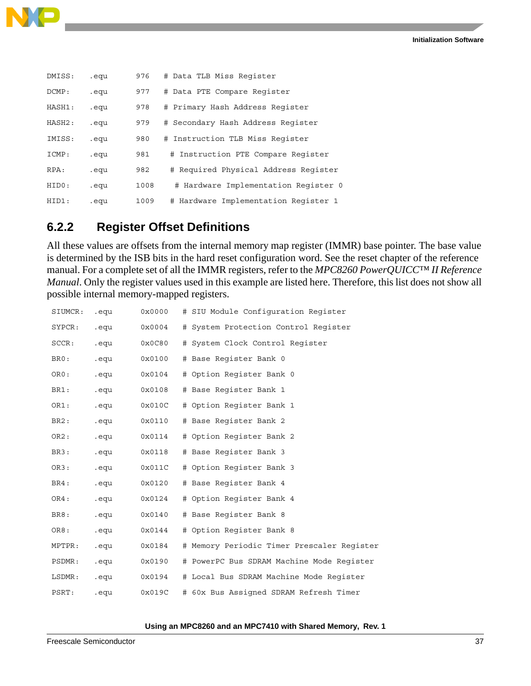

| DMISS: | .equ | 976  | # Data TLB Miss Register             |
|--------|------|------|--------------------------------------|
| DCMP:  | .equ | 977  | # Data PTE Compare Register          |
| HASH1: | .equ | 978  | # Primary Hash Address Register      |
| HASH2: | .equ | 979  | # Secondary Hash Address Register    |
| IMISS: | .equ | 980  | # Instruction TLB Miss Register      |
| ICMP:  | .equ | 981  | # Instruction PTE Compare Register   |
| RPA:   | .equ | 982  | # Required Physical Address Reqister |
| HIDO:  | .equ | 1008 | # Hardware Implementation Register 0 |
| HID1:  | .equ | 1009 | # Hardware Implementation Register 1 |

### **6.2.2 Register Offset Definitions**

All these values are offsets from the internal memory map register (IMMR) base pointer. The base value is determined by the ISB bits in the hard reset configuration word. See the reset chapter of the reference manual. For a complete set of all the IMMR registers, refer to the *MPC8260 PowerQUICC™ II Reference Manual*. Only the register values used in this example are listed here. Therefore, this list does not show all possible internal memory-mapped registers.

| SIUMCR:           | .equ | 0x0000 | # SIU Module Configuration Register        |
|-------------------|------|--------|--------------------------------------------|
| $\texttt{SYPCR:}$ | .equ | 0x0004 | # System Protection Control Reqister       |
| SCCR:             | .equ | 0x0C80 | # System Clock Control Register            |
| BR0:              | .equ | 0x0100 | # Base Reqister Bank 0                     |
| ORO:              | .equ | 0x0104 | # Option Register Bank 0                   |
| BR1:              | .equ | 0x0108 | # Base Reqister Bank 1                     |
| OR1:              | .equ | 0x010C | # Option Register Bank 1                   |
| BR2:              | .equ | 0x0110 | # Base Register Bank 2                     |
| OR2:              | .equ | 0x0114 | # Option Register Bank 2                   |
| BR3:              | .equ | 0x0118 | # Base Register Bank 3                     |
| OR3:              | .equ | 0x011C | # Option Register Bank 3                   |
| BR4:              | .equ | 0x0120 | # Base Register Bank 4                     |
| OR4:              | .equ | 0x0124 | # Option Register Bank 4                   |
| BR8:              | .equ | 0x0140 | # Base Reqister Bank 8                     |
| OR8:              | .equ | 0x0144 | # Option Register Bank 8                   |
| MPTPR:            | .equ | 0x0184 | # Memory Periodic Timer Prescaler Reqister |
| PSDMR:            | .equ | 0x0190 | # PowerPC Bus SDRAM Machine Mode Reqister  |
| LSDMR:            | .equ | 0x0194 | # Local Bus SDRAM Machine Mode Register    |
| PSRT:             | .equ | 0x019C | # 60x Bus Assigned SDRAM Refresh Timer     |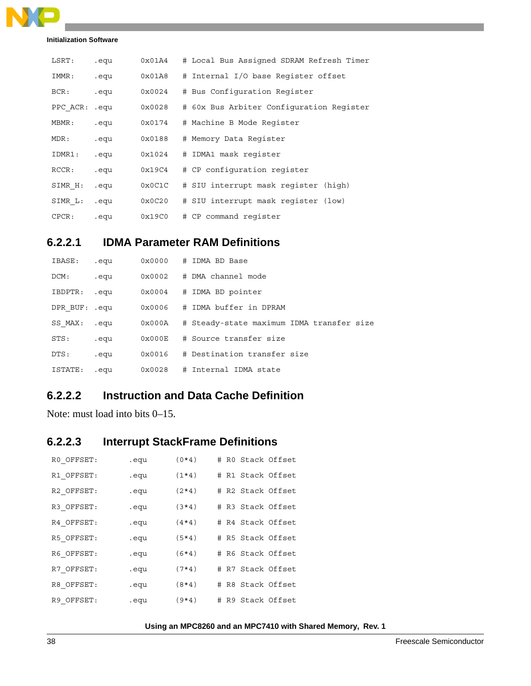

| LSRT:         | .equ | 0x01A4 | # Local Bus Assigned SDRAM Refresh Timer |
|---------------|------|--------|------------------------------------------|
| IMMR:         | .equ | 0x01A8 | # Internal I/O base Register offset      |
| BCR:          | .equ | 0x0024 | # Bus Configuration Register             |
| PPC ACR: .equ |      | 0x0028 | # 60x Bus Arbiter Configuration Register |
| MBMR:         | .equ | 0x0174 | # Machine B Mode Register                |
| MDR:          | .equ | 0x0188 | # Memory Data Register                   |
| IDMR1:        | .equ | 0x1024 | # IDMA1 mask register                    |
| RCCR:         | .equ | 0x19C4 | # CP configuration register              |
| SIMR H:       | .equ | 0x0C1C | # SIU interrupt mask register (high)     |
| SIMR L:       | .equ | 0x0C20 | # SIU interrupt mask register (low)      |
| CPCR:         | .equ | 0x19C0 | # CP command register                    |

### **6.2.2.1 IDMA Parameter RAM Definitions**

| IBASE:        | .equ | 0x0000          | # IDMA BD Base                            |
|---------------|------|-----------------|-------------------------------------------|
| DCM:          | .equ | 0x0002          | # DMA channel mode                        |
| IBDPTR:       | .equ | 0x0004          | # IDMA BD pointer                         |
| DPR BUF: .equ |      | 0x0006          | # IDMA buffer in DPRAM                    |
| SS MAX:       | .equ | 0x000A          | # Steady-state maximum IDMA transfer size |
| STS:          | .equ | $0 \times 000E$ | # Source transfer size                    |
| DTS:          | .equ | 0x0016          | # Destination transfer size               |
| ISTATE:       | .equ | 0x0028          | # Internal IDMA state                     |

### **6.2.2.2 Instruction and Data Cache Definition**

Note: must load into bits 0–15.

### **6.2.2.3 Interrupt StackFrame Definitions**

| RO OFFSET: | .equ | $(0*4)$ | # R0 Stack Offset |
|------------|------|---------|-------------------|
| R1 OFFSET: | .equ | $(1*4)$ | # R1 Stack Offset |
| R2 OFFSET: | .equ | $(2*4)$ | # R2 Stack Offset |
| R3 OFFSET: | .equ | $(3*4)$ | # R3 Stack Offset |
| R4 OFFSET: | .equ | $(4*4)$ | # R4 Stack Offset |
| R5 OFFSET: | .equ | $(5*4)$ | # R5 Stack Offset |
| R6 OFFSET: | .equ | $(6*4)$ | # R6 Stack Offset |
| R7 OFFSET: | .equ | $(7*4)$ | # R7 Stack Offset |
| R8 OFFSET: | .equ | $(8*4)$ | # R8 Stack Offset |
| R9 OFFSET: | .equ | $(9*4)$ | # R9 Stack Offset |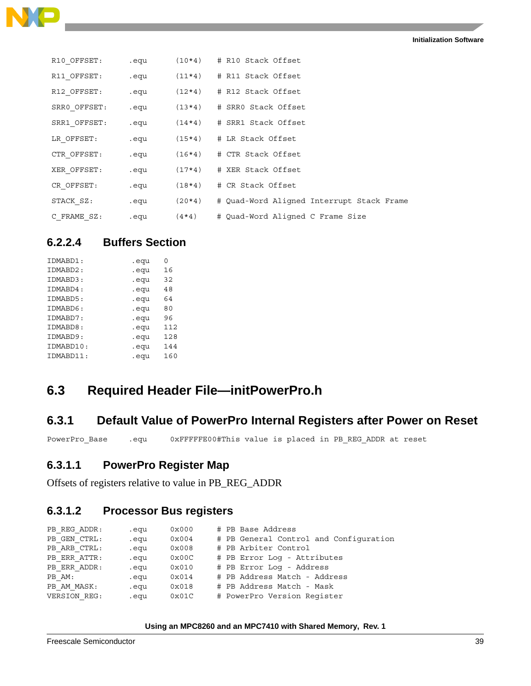

| R10 OFFSET:  | .equ | $(10*4)$ | # R10 Stack Offset                        |
|--------------|------|----------|-------------------------------------------|
| R11 OFFSET:  | .equ |          | $(11*4)$ # R11 Stack Offset               |
| R12 OFFSET:  | .equ |          | $(12*4)$ # R12 Stack Offset               |
| SRRO OFFSET: | .equ | $(13*4)$ | # SRRO Stack Offset                       |
| SRR1 OFFSET: | .equ |          | $(14*4)$ # SRR1 Stack Offset              |
| LR OFFSET:   | .equ | $(15*4)$ | # LR Stack Offset                         |
| CTR OFFSET:  | .equ |          | $(16*4)$ # CTR Stack Offset               |
| XER OFFSET:  | .equ | $(17*4)$ | # XER Stack Offset                        |
| CR OFFSET:   | .equ | $(18*4)$ | # CR Stack Offset                         |
| STACK SZ:    | .equ | $(20*4)$ | # Ouad-Word Aligned Interrupt Stack Frame |
| C FRAME SZ:  | .equ | $(4*4)$  | # Ouad-Word Aligned C Frame Size          |

### **6.2.2.4 Buffers Section**

| IDMABD1:  | .equ | ი   |
|-----------|------|-----|
| IDMABD2:  | .equ | 16  |
| IDMABD3:  | .equ | 32  |
| IDMABD4:  | .equ | 48  |
| IDMABD5:  | .equ | 64  |
| IDMABD6:  | .equ | 80  |
| IDMABD7:  | .equ | 96  |
| IDMABD8:  | .equ | 112 |
| IDMABD9:  | .equ | 128 |
| IDMABD10: | .equ | 144 |
| IDMABD11: | .equ | 160 |
|           |      |     |

### **6.3 Required Header File—initPowerPro.h**

### **6.3.1 Default Value of PowerPro Internal Registers after Power on Reset**

PowerPro\_Base .equ 0xFFFFFE00#This value is placed in PB\_REG\_ADDR at reset

### **6.3.1.1 PowerPro Register Map**

Offsets of registers relative to value in PB\_REG\_ADDR

### **6.3.1.2 Processor Bus registers**

| PB REG ADDR: | .equ | 0x000 |  | # PB Base Address                      |
|--------------|------|-------|--|----------------------------------------|
| PB GEN CTRL: | .equ | 0x004 |  | # PB General Control and Configuration |
| PB ARB CTRL: | .equ | 0x008 |  | # PB Arbiter Control                   |
| PB ERR ATTR: | .equ | 0x00C |  | # PB Error Log - Attributes            |
| PB ERR ADDR: | .equ | 0x010 |  | # PB Error Log - Address               |
| PB AM:       | .equ | 0x014 |  | # PB Address Match - Address           |
| PB AM MASK:  | .equ | 0x018 |  | # PB Address Match - Mask              |
| VERSION REG: | .equ | 0x01C |  | # PowerPro Version Reqister            |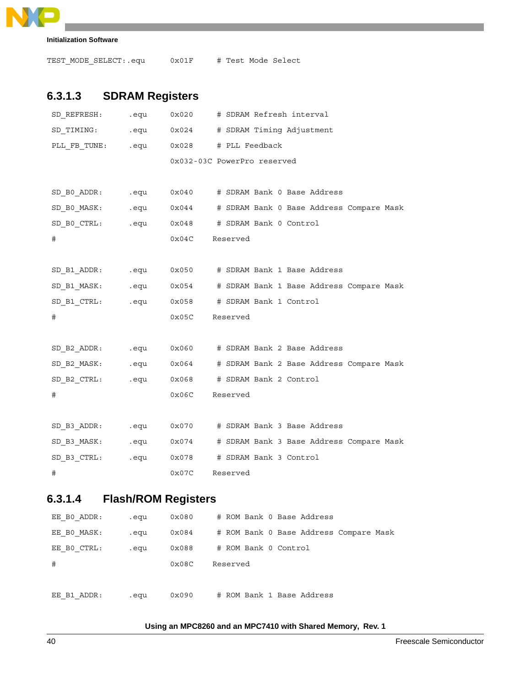```
R
                                                           \overline{\phantom{0}}
```

```
Initialization Software
```
TEST\_MODE\_SELECT:.equ 0x01F # Test Mode Select

### **6.3.1.3 SDRAM Registers**

| SD REFRESH:                            | .equ                                                                                                          | 0x020               |          | # SDRAM Refresh interval                                          |
|----------------------------------------|---------------------------------------------------------------------------------------------------------------|---------------------|----------|-------------------------------------------------------------------|
| SD TIMING:                             |                                                                                                               | equectors ox 0x 024 |          | # SDRAM Timing Adjustment                                         |
| PLL FB_TUNE: .equ 0x028 # PLL Feedback |                                                                                                               |                     |          |                                                                   |
|                                        |                                                                                                               |                     |          | 0x032-03C PowerPro reserved                                       |
|                                        |                                                                                                               |                     |          |                                                                   |
| SD BO ADDR:                            | equ.                                                                                                          | 0x040               |          | # SDRAM Bank 0 Base Address                                       |
| SD BO MASK: .equ                       |                                                                                                               | 0x044               |          | # SDRAM Bank 0 Base Address Compare Mask                          |
| SD BO CTRL: equ                        |                                                                                                               |                     |          | 0x048 # SDRAM Bank 0 Control                                      |
| #                                      |                                                                                                               | 0x04C               | Reserved |                                                                   |
|                                        |                                                                                                               |                     |          |                                                                   |
| SD B1 ADDR: .equ                       |                                                                                                               | 0x050               |          | # SDRAM Bank 1 Base Address                                       |
| SD B1 MASK: .equ                       |                                                                                                               | 0x054               |          | # SDRAM Bank 1 Base Address Compare Mask                          |
| SD B1 CTRL:                            | equelled a sequelled a la contraction de la contraction de la contraction de la contraction de la contraction | 0x058               |          | # SDRAM Bank 1 Control                                            |
| #                                      |                                                                                                               | 0x05C               | Reserved |                                                                   |
|                                        |                                                                                                               |                     |          |                                                                   |
| $SD_B2_DDDR$ :                         | equ.                                                                                                          |                     |          | 0x060 # SDRAM Bank 2 Base Address                                 |
|                                        |                                                                                                               |                     |          | SD B2 MASK: .equ  0x064  # SDRAM Bank 2 Base Address Compare Mask |
| SD B2 CTRL: .equ                       |                                                                                                               | 0x068               |          | # SDRAM Bank 2 Control                                            |
| #                                      |                                                                                                               | 0x06C               | Reserved |                                                                   |
|                                        |                                                                                                               |                     |          |                                                                   |
| SD_B3_ADDR: .equ                       |                                                                                                               | 0x070               |          | # SDRAM Bank 3 Base Address                                       |
| SD B3 MASK: .equ                       |                                                                                                               | 0x074               |          | # SDRAM Bank 3 Base Address Compare Mask                          |
| SD_B3_CTRL:                            | .equ                                                                                                          | 0x078               |          | # SDRAM Bank 3 Control                                            |
| #                                      |                                                                                                               | 0x07C               | Reserved |                                                                   |
|                                        |                                                                                                               |                     |          |                                                                   |

### **6.3.1.4 Flash/ROM Registers**

| EE BO ADDR: | .equ | 0x080          | # ROM Bank 0 Base Address              |
|-------------|------|----------------|----------------------------------------|
| EE BO MASK: | .equ | 0x084          | # ROM Bank 0 Base Address Compare Mask |
| EE BO CTRL: | .equ | 0x088          | # ROM Bank 0 Control                   |
| #           |      | $0 \times 08C$ | Reserved                               |
|             |      |                |                                        |
| EE B1 ADDR: | .equ | 0x090          | # ROM Bank 1 Base Address              |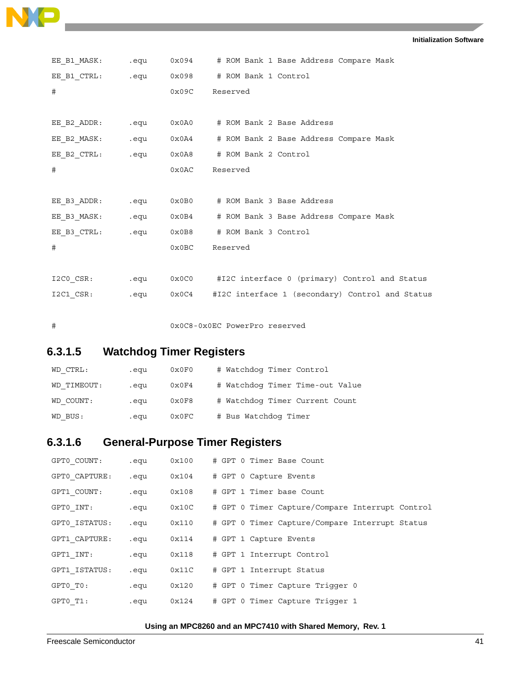```
Initialization Software
```

| EE B1 MASK: equ  |           | 0x094 # ROM Bank 1 Base Address Compare Mask         |
|------------------|-----------|------------------------------------------------------|
|                  |           |                                                      |
| #                | 0x09C     | Reserved                                             |
|                  |           |                                                      |
| EE B2 ADDR: .equ |           | 0x0A0 # ROM Bank 2 Base Address                      |
|                  |           |                                                      |
|                  |           |                                                      |
| #                | 0x0AC     | Reserved                                             |
|                  |           |                                                      |
| EE B3 ADDR: equ  |           | 0x0B0 # ROM Bank 3 Base Address                      |
| EE B3 MASK:      |           | .equ  0x0B4   # ROM Bank 3 Base Address Compare Mask |
| EE B3 CTRL:      | equ 0x0B8 | # ROM Bank 3 Control                                 |
| #                | 0x0BC     | Reserved                                             |
|                  |           |                                                      |
| I2CO CSR: equ    |           | 0x0C0 #I2C interface 0 (primary) Control and Status  |
| I2C1 CSR:        | equ 0x0C4 | #I2C interface 1 (secondary) Control and Status      |
|                  |           |                                                      |
| #                |           | 0x0C8-0x0EC PowerPro reserved                        |

### **6.3.1.5 Watchdog Timer Registers**

NO

 $\overline{\phantom{a}}$ 

| WD CTRL:    | .equ | 0x0F0 | # Watchdog Timer Control        |
|-------------|------|-------|---------------------------------|
| WD TIMEOUT: | .equ | 0x0F4 | # Watchdog Timer Time-out Value |
| WD COUNT:   | .equ | 0x0F8 | # Watchdog Timer Current Count  |
| WD BUS:     | .equ | 0x0FC | # Bus Watchdog Timer            |

### **6.3.1.6 General-Purpose Timer Registers**

| GPT0 COUNT:   | .equ | 0x100 |  | # GPT 0 Timer Base Count                        |
|---------------|------|-------|--|-------------------------------------------------|
| GPT0 CAPTURE: | .equ | 0x104 |  | # GPT 0 Capture Events                          |
| GPT1 COUNT:   | .equ | 0x108 |  | # GPT 1 Timer base Count                        |
| GPT0 INT:     | .equ | 0x10C |  | # GPT 0 Timer Capture/Compare Interrupt Control |
| GPT0 ISTATUS: | .equ | 0x110 |  | # GPT 0 Timer Capture/Compare Interrupt Status  |
| GPT1 CAPTURE: | .equ | 0x114 |  | # GPT 1 Capture Events                          |
| GPT1 INT:     | .equ | 0x118 |  | # GPT 1 Interrupt Control                       |
| GPT1 ISTATUS: | .equ | 0x11C |  | # GPT 1 Interrupt Status                        |
| GPT0 TO:      | .equ | 0x120 |  | # GPT 0 Timer Capture Trigger 0                 |
| GPT0 T1:      | .equ | 0x124 |  | # GPT 0 Timer Capture Trigger 1                 |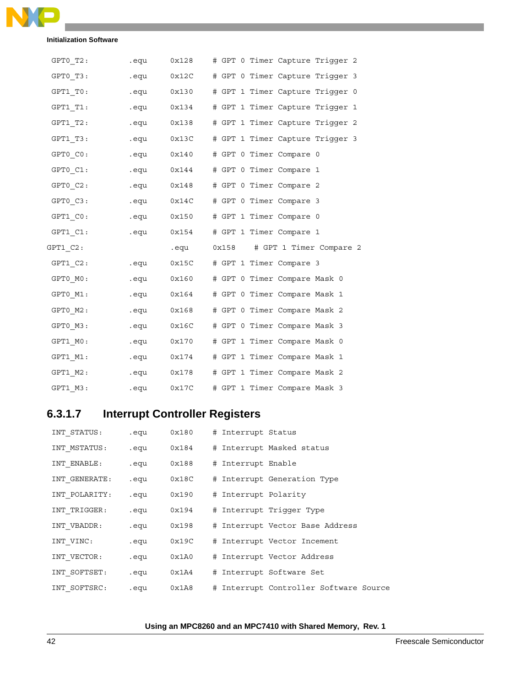

| $GPT0_T2:$    | .equ                  | 0x128      | # GPT 0 Timer Capture Triqqer 2 |
|---------------|-----------------------|------------|---------------------------------|
| GPT0 T3:      | .equ                  | 0x12C      | # GPT 0 Timer Capture Trigger 3 |
| GPT1 T0:      | .equ                  | 0x130      | # GPT 1 Timer Capture Trigger 0 |
| GPT1 T1:      | .equ                  | 0x134      | # GPT 1 Timer Capture Trigger 1 |
| GPT1 T2:      | equ.                  | 0x138      | # GPT 1 Timer Capture Trigger 2 |
| GPT1 T3:      | .equ                  | 0x13C      | # GPT 1 Timer Capture Trigger 3 |
| GPT0 CO:      | .equ                  | 0x140      | # GPT 0 Timer Compare 0         |
| $GPT0$ $C1$ : |                       | equ 0x144. | # GPT 0 Timer Compare 1         |
| GPT0 C2:      | .equ                  | 0x148      | # GPT 0 Timer Compare 2         |
| $GPT0_C3:$    |                       | equ 0x14C  | # GPT 0 Timer Compare 3         |
| GPT1 CO:      | .equ                  | 0x150      | # GPT 1 Timer Compare 0         |
|               |                       |            |                                 |
| GPT1 C1:      | eques to the control. | 0x154      | # GPT 1 Timer Compare 1         |
| GPT1 C2:      |                       | .equ       | 0x158 # GPT 1 Timer Compare 2   |
| GPT1 C2:      | .equ                  | 0x15C      | # GPT 1 Timer Compare 3         |
| GPT0 MO:      | .equ                  | 0x160      | # GPT 0 Timer Compare Mask 0    |
| GPT0 M1:      | .equ                  | 0x164      | # GPT 0 Timer Compare Mask 1    |
| GPT0 M2:      | .equ                  | 0x168      | # GPT 0 Timer Compare Mask 2    |
| GPT0 M3:      | .equ                  | 0x16C      | # GPT 0 Timer Compare Mask 3    |
| GPT1 MO:      | eque to the control.  | 0x170      | # GPT 1 Timer Compare Mask 0    |
| GPT1 M1:      |                       | equ 0x174. | # GPT 1 Timer Compare Mask 1    |
| GPT1 M2:      |                       | equ 0x178. | # GPT 1 Timer Compare Mask 2    |

### **6.3.1.7 Interrupt Controller Registers**

| INT STATUS:   | .equ | 0x180 | # Interrupt Status                     |  |
|---------------|------|-------|----------------------------------------|--|
| INT MSTATUS:  | .equ | 0x184 | # Interrupt Masked status              |  |
| INT_ENABLE:   | .equ | 0x188 | # Interrupt Enable                     |  |
| INT GENERATE: | .equ | 0x18C | # Interrupt Generation Type            |  |
| INT POLARITY: | .equ | 0x190 | # Interrupt Polarity                   |  |
| INT TRIGGER:  | .equ | 0x194 | # Interrupt Trigger Type               |  |
| INT VBADDR:   | .equ | 0x198 | # Interrupt Vector Base Address        |  |
| INT_VINC:     | .equ | 0x19C | # Interrupt Vector Incement            |  |
| INT VECTOR:   | .equ | 0x1A0 | # Interrupt Vector Address             |  |
| INT SOFTSET:  | .equ | 0x1A4 | # Interrupt Software Set               |  |
| INT SOFTSRC:  | .equ | 0x1A8 | # Interrupt Controller Software Source |  |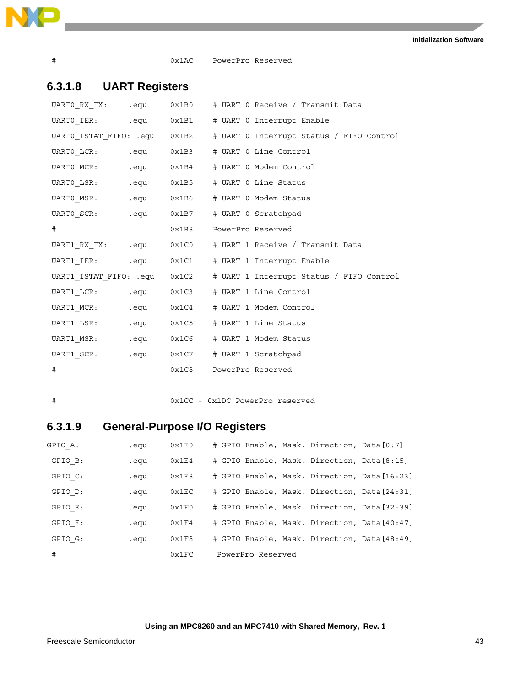

# 0x1AC PowerPro Reserved

### **6.3.1.8 UART Registers**

|   |  | UARTO ISTAT FIFO: .equ  0x1B2    # UART 0 Interrupt Status / FIFO Control |
|---|--|---------------------------------------------------------------------------|
|   |  | UARTO LCR: .equ  0x1B3  # UART 0 Line Control                             |
|   |  | UARTO MCR: .equ  0x1B4  # UART 0 Modem Control                            |
|   |  |                                                                           |
|   |  |                                                                           |
|   |  |                                                                           |
| # |  | 0x1B8 PowerPro Reserved                                                   |
|   |  |                                                                           |
|   |  |                                                                           |
|   |  |                                                                           |
|   |  | UART1 ISTAT FIFO: .equ  0x1C2    # UART 1 Interrupt Status / FIFO Control |
|   |  | UART1_LCR: .equ  0x1C3    # UART 1    Line Control                        |
|   |  | UART1_MCR: .equ  0x1C4    # UART 1 Modem Control                          |
|   |  | UART1_LSR: .equ  0x1C5    # UART 1    Line Status                         |
|   |  |                                                                           |
|   |  | UART1_SCR: .equ  0x1C7    # UART 1 Scratchpad                             |

### # 0x1CC - 0x1DC PowerPro reserved

### **6.3.1.9 General-Purpose I/O Registers**

| GPIO A: | .equ | 0x1E0 | # GPIO Enable, Mask, Direction, Data [0:7]   |  |  |
|---------|------|-------|----------------------------------------------|--|--|
| GPIO B: | .equ | 0x1E4 | # GPIO Enable, Mask, Direction, Data [8:15]  |  |  |
| GPIO C: | .equ | 0x1E8 | # GPIO Enable, Mask, Direction, Data [16:23] |  |  |
| GPIO D: | .equ | 0x1EC | # GPIO Enable, Mask, Direction, Data [24:31] |  |  |
| GPIO E: | .equ | 0x1F0 | # GPIO Enable, Mask, Direction, Data[32:39]  |  |  |
| GPIO F: | .equ | 0x1F4 | # GPIO Enable, Mask, Direction, Data [40:47] |  |  |
| GPIO G: | .equ | 0x1F8 | # GPIO Enable, Mask, Direction, Data[48:49]  |  |  |
| #       |      | 0x1FC | PowerPro Reserved                            |  |  |